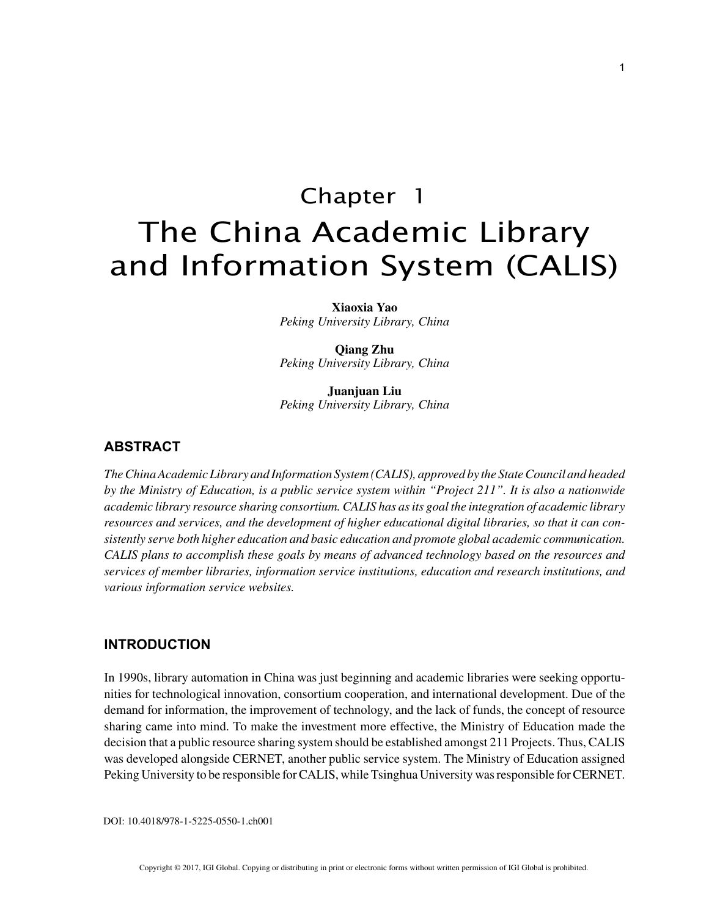# Chapter 1 The China Academic Library and Information System (CALIS)

**Xiaoxia Yao** *Peking University Library, China*

**Qiang Zhu** *Peking University Library, China*

**Juanjuan Liu** *Peking University Library, China*

# **ABSTRACT**

*The China Academic Library and Information System (CALIS), approved by the State Council and headed by the Ministry of Education, is a public service system within "Project 211". It is also a nationwide academic library resource sharing consortium. CALIS has as its goal the integration of academic library resources and services, and the development of higher educational digital libraries, so that it can consistently serve both higher education and basic education and promote global academic communication. CALIS plans to accomplish these goals by means of advanced technology based on the resources and services of member libraries, information service institutions, education and research institutions, and various information service websites.*

## **INTRODUCTION**

In 1990s, library automation in China was just beginning and academic libraries were seeking opportunities for technological innovation, consortium cooperation, and international development. Due of the demand for information, the improvement of technology, and the lack of funds, the concept of resource sharing came into mind. To make the investment more effective, the Ministry of Education made the decision that a public resource sharing system should be established amongst 211 Projects. Thus, CALIS was developed alongside CERNET, another public service system. The Ministry of Education assigned Peking University to be responsible for CALIS, while Tsinghua University was responsible for CERNET.

DOI: 10.4018/978-1-5225-0550-1.ch001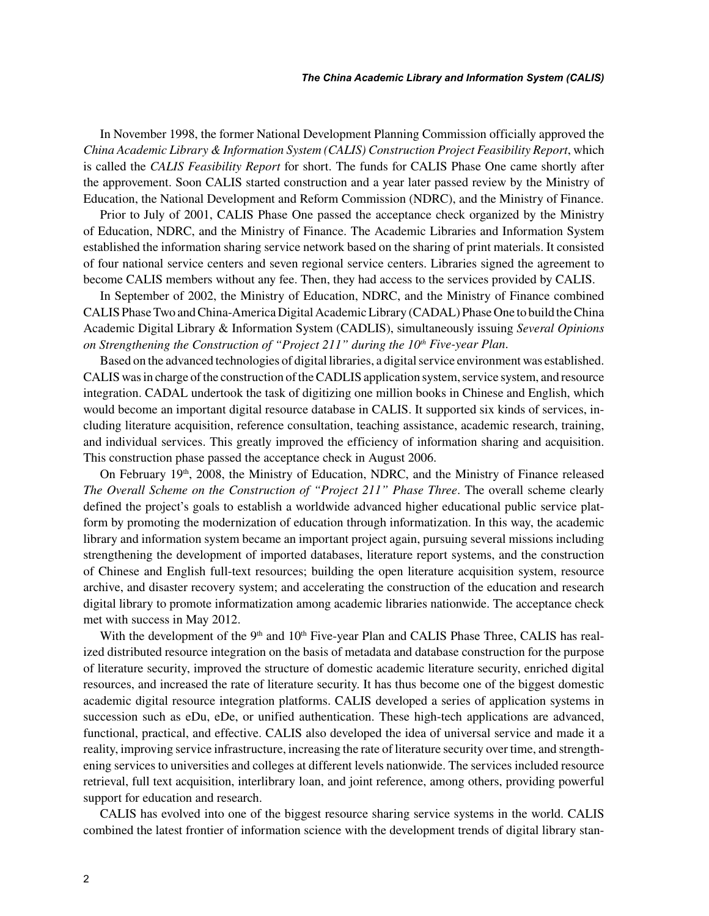In November 1998, the former National Development Planning Commission officially approved the *China Academic Library & Information System (CALIS) Construction Project Feasibility Report*, which is called the *CALIS Feasibility Report* for short. The funds for CALIS Phase One came shortly after the approvement. Soon CALIS started construction and a year later passed review by the Ministry of Education, the National Development and Reform Commission (NDRC), and the Ministry of Finance.

Prior to July of 2001, CALIS Phase One passed the acceptance check organized by the Ministry of Education, NDRC, and the Ministry of Finance. The Academic Libraries and Information System established the information sharing service network based on the sharing of print materials. It consisted of four national service centers and seven regional service centers. Libraries signed the agreement to become CALIS members without any fee. Then, they had access to the services provided by CALIS.

In September of 2002, the Ministry of Education, NDRC, and the Ministry of Finance combined CALIS Phase Two and China-America Digital Academic Library (CADAL) Phase One to build the China Academic Digital Library & Information System (CADLIS), simultaneously issuing *Several Opinions on Strengthening the Construction of "Project 211" during the 10<sup>th</sup> Five-year Plan.* 

Based on the advanced technologies of digital libraries, a digital service environment was established. CALIS was in charge of the construction of the CADLIS application system, service system, and resource integration. CADAL undertook the task of digitizing one million books in Chinese and English, which would become an important digital resource database in CALIS. It supported six kinds of services, including literature acquisition, reference consultation, teaching assistance, academic research, training, and individual services. This greatly improved the efficiency of information sharing and acquisition. This construction phase passed the acceptance check in August 2006.

On February 19<sup>th</sup>, 2008, the Ministry of Education, NDRC, and the Ministry of Finance released *The Overall Scheme on the Construction of "Project 211" Phase Three*. The overall scheme clearly defined the project's goals to establish a worldwide advanced higher educational public service platform by promoting the modernization of education through informatization. In this way, the academic library and information system became an important project again, pursuing several missions including strengthening the development of imported databases, literature report systems, and the construction of Chinese and English full-text resources; building the open literature acquisition system, resource archive, and disaster recovery system; and accelerating the construction of the education and research digital library to promote informatization among academic libraries nationwide. The acceptance check met with success in May 2012.

With the development of the 9<sup>th</sup> and 10<sup>th</sup> Five-year Plan and CALIS Phase Three, CALIS has realized distributed resource integration on the basis of metadata and database construction for the purpose of literature security, improved the structure of domestic academic literature security, enriched digital resources, and increased the rate of literature security. It has thus become one of the biggest domestic academic digital resource integration platforms. CALIS developed a series of application systems in succession such as eDu, eDe, or unified authentication. These high-tech applications are advanced, functional, practical, and effective. CALIS also developed the idea of universal service and made it a reality, improving service infrastructure, increasing the rate of literature security over time, and strengthening services to universities and colleges at different levels nationwide. The services included resource retrieval, full text acquisition, interlibrary loan, and joint reference, among others, providing powerful support for education and research.

CALIS has evolved into one of the biggest resource sharing service systems in the world. CALIS combined the latest frontier of information science with the development trends of digital library stan